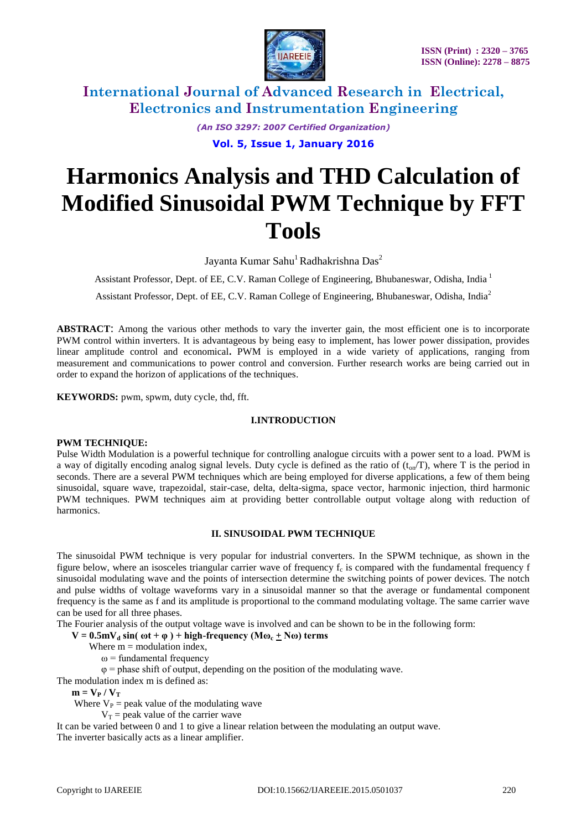

*(An ISO 3297: 2007 Certified Organization)*

**Vol. 5, Issue 1, January 2016**

# **Harmonics Analysis and THD Calculation of Modified Sinusoidal PWM Technique by FFT Tools**

Jayanta Kumar Sahu<sup>1</sup> Radhakrishna Das<sup>2</sup>

Assistant Professor, Dept. of EE, C.V. Raman College of Engineering, Bhubaneswar, Odisha, India <sup>1</sup>

Assistant Professor, Dept. of EE, C.V. Raman College of Engineering, Bhubaneswar, Odisha, India<sup>2</sup>

**ABSTRACT**: Among the various other methods to vary the inverter gain, the most efficient one is to incorporate PWM control within inverters. It is advantageous by being easy to implement, has lower power dissipation, provides linear amplitude control and economical**.** PWM is employed in a wide variety of applications, ranging from measurement and communications to power control and conversion. Further research works are being carried out in order to expand the horizon of applications of the techniques.

**KEYWORDS:** pwm, spwm, duty cycle, thd, fft.

### **I.INTRODUCTION**

#### **PWM TECHNIQUE:**

Pulse Width Modulation is a powerful technique for controlling analogue circuits with a power sent to a load. PWM is a way of digitally encoding analog signal levels. Duty cycle is defined as the ratio of  $(t_{on}/T)$ , where T is the period in seconds. There are a several PWM techniques which are being employed for diverse applications, a few of them being sinusoidal, square wave, trapezoidal, stair-case, delta, delta-sigma, space vector, harmonic injection, third harmonic PWM techniques. PWM techniques aim at providing better controllable output voltage along with reduction of harmonics.

### **II. SINUSOIDAL PWM TECHNIQUE**

The sinusoidal PWM technique is very popular for industrial converters. In the SPWM technique, as shown in the figure below, where an isosceles triangular carrier wave of frequency  $f_c$  is compared with the fundamental frequency f sinusoidal modulating wave and the points of intersection determine the switching points of power devices. The notch and pulse widths of voltage waveforms vary in a sinusoidal manner so that the average or fundamental component frequency is the same as f and its amplitude is proportional to the command modulating voltage. The same carrier wave can be used for all three phases.

The Fourier analysis of the output voltage wave is involved and can be shown to be in the following form:

 $V = 0.5$ m $V_d$  sin(  $\omega t + \varphi$ ) + high-frequency ( $M\omega_c + N\omega$ ) terms

Where  $m =$  modulation index,

 $\omega$  = fundamental frequency

 $\varphi$  = phase shift of output, depending on the position of the modulating wave.

The modulation index m is defined as:

 $m = V_{P} / V_{T}$ 

Where  $V_P$  = peak value of the modulating wave

 $V_T$  = peak value of the carrier wave

It can be varied between 0 and 1 to give a linear relation between the modulating an output wave. The inverter basically acts as a linear amplifier.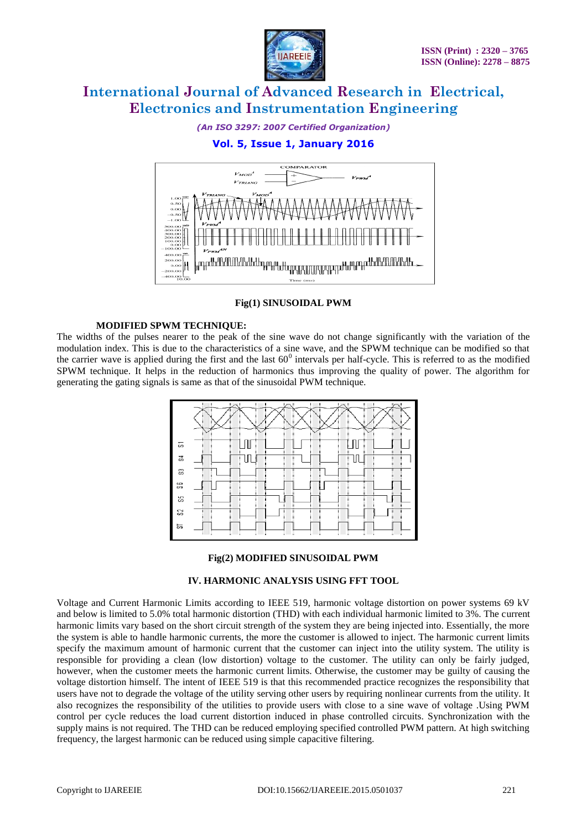

*(An ISO 3297: 2007 Certified Organization)*

## **Vol. 5, Issue 1, January 2016**



#### **Fig(1) SINUSOIDAL PWM**

#### **MODIFIED SPWM TECHNIQUE:**

The widths of the pulses nearer to the peak of the sine wave do not change significantly with the variation of the modulation index. This is due to the characteristics of a sine wave, and the SPWM technique can be modified so that the carrier wave is applied during the first and the last  $60^{\circ}$  intervals per half-cycle. This is referred to as the modified SPWM technique. It helps in the reduction of harmonics thus improving the quality of power. The algorithm for generating the gating signals is same as that of the sinusoidal PWM technique.



#### **Fig(2) MODIFIED SINUSOIDAL PWM**

#### **IV. HARMONIC ANALYSIS USING FFT TOOL**

Voltage and Current Harmonic Limits according to IEEE 519, harmonic voltage distortion on power systems 69 kV and below is limited to 5.0% total harmonic distortion (THD) with each individual harmonic limited to 3%. The current harmonic limits vary based on the short circuit strength of the system they are being injected into. Essentially, the more the system is able to handle harmonic currents, the more the customer is allowed to inject. The harmonic current limits specify the maximum amount of harmonic current that the customer can inject into the utility system. The utility is responsible for providing a clean (low distortion) voltage to the customer. The utility can only be fairly judged, however, when the customer meets the harmonic current limits. Otherwise, the customer may be guilty of causing the voltage distortion himself. The intent of IEEE 519 is that this recommended practice recognizes the responsibility that users have not to degrade the voltage of the utility serving other users by requiring nonlinear currents from the utility. It also recognizes the responsibility of the utilities to provide users with close to a sine wave of voltage .Using PWM control per cycle reduces the load current distortion induced in phase controlled circuits. Synchronization with the supply mains is not required. The THD can be reduced employing specified controlled PWM pattern. At high switching frequency, the largest harmonic can be reduced using simple capacitive filtering.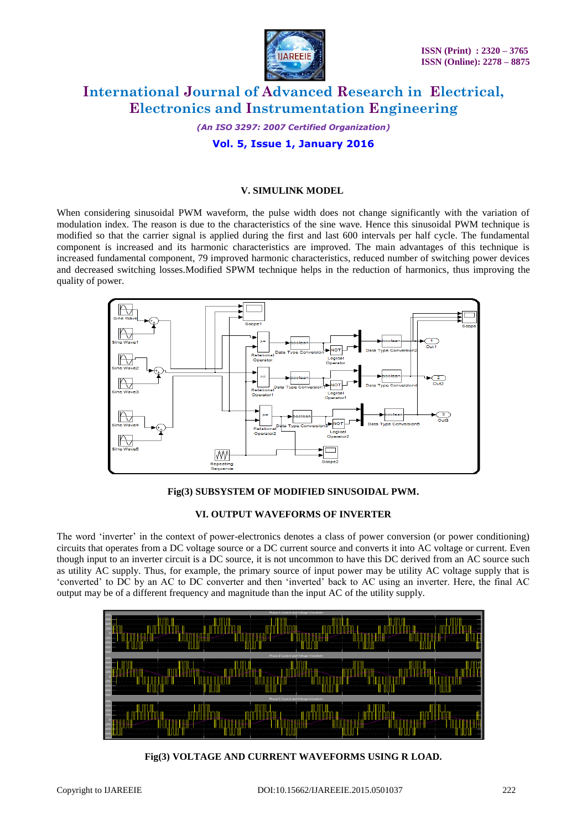

*(An ISO 3297: 2007 Certified Organization)* **Vol. 5, Issue 1, January 2016**

#### **V. SIMULINK MODEL**

When considering sinusoidal PWM waveform, the pulse width does not change significantly with the variation of modulation index. The reason is due to the characteristics of the sine wave. Hence this sinusoidal PWM technique is modified so that the carrier signal is applied during the first and last 600 intervals per half cycle. The fundamental component is increased and its harmonic characteristics are improved. The main advantages of this technique is increased fundamental component, 79 improved harmonic characteristics, reduced number of switching power devices and decreased switching losses.Modified SPWM technique helps in the reduction of harmonics, thus improving the quality of power.



#### **Fig(3) SUBSYSTEM OF MODIFIED SINUSOIDAL PWM.**

#### **VI. OUTPUT WAVEFORMS OF INVERTER**

The word "inverter" in the context of power-electronics denotes a class of power conversion (or power conditioning) circuits that operates from a DC voltage source or a DC current source and converts it into AC voltage or current. Even though input to an inverter circuit is a DC source, it is not uncommon to have this DC derived from an AC source such as utility AC supply. Thus, for example, the primary source of input power may be utility AC voltage supply that is "converted" to DC by an AC to DC converter and then "inverted" back to AC using an inverter. Here, the final AC output may be of a different frequency and magnitude than the input AC of the utility supply.



**Fig(3) VOLTAGE AND CURRENT WAVEFORMS USING R LOAD.**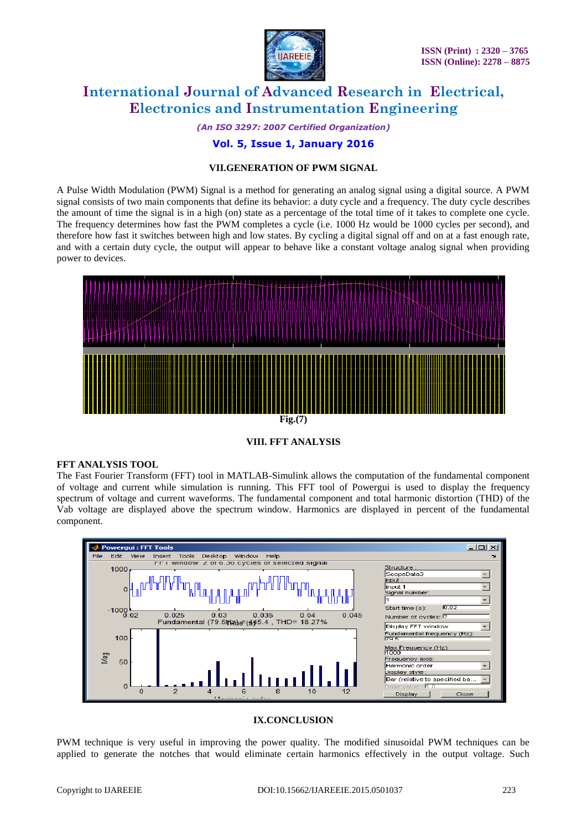

*(An ISO 3297: 2007 Certified Organization)*

## **Vol. 5, Issue 1, January 2016**

#### **VII.GENERATION OF PWM SIGNAL**

A Pulse Width Modulation (PWM) Signal is a method for generating an analog signal using a digital source. A PWM signal consists of two main components that define its behavior: a duty cycle and a frequency. The duty cycle describes the amount of time the signal is in a high (on) state as a percentage of the total time of it takes to complete one cycle. The frequency determines how fast the PWM completes a cycle (i.e. 1000 Hz would be 1000 cycles per second), and therefore how fast it switches between high and low states. By cycling a digital signal off and on at a fast enough rate, and with a certain duty cycle, the output will appear to behave like a constant voltage analog signal when providing power to devices.



### **VIII. FFT ANALYSIS**

#### **FFT ANALYSIS TOOL**

The Fast Fourier Transform (FFT) tool in MATLAB-Simulink allows the computation of the fundamental component of voltage and current while simulation is running. This FFT tool of Powergui is used to display the frequency spectrum of voltage and current waveforms. The fundamental component and total harmonic distortion (THD) of the Vab voltage are displayed above the spectrum window. Harmonics are displayed in percent of the fundamental component.



#### **IX.CONCLUSION**

PWM technique is very useful in improving the power quality. The modified sinusoidal PWM techniques can be applied to generate the notches that would eliminate certain harmonics effectively in the output voltage. Such